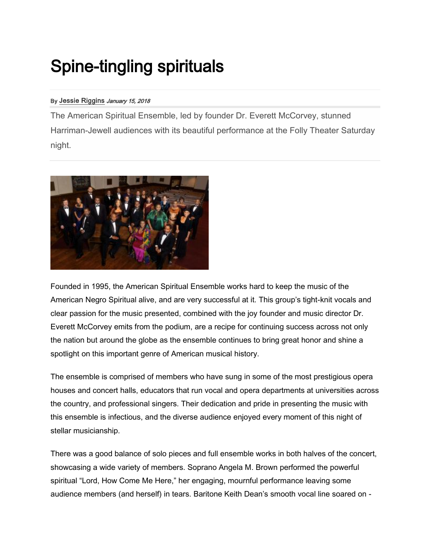## Spine-tingling spirituals

## By [Jessie Riggins](https://kcmetropolis.org/author/jessie_riggins/) January 15, 2018

The American Spiritual Ensemble, led by founder Dr. Everett McCorvey, stunned Harriman-Jewell audiences with its beautiful performance at the Folly Theater Saturday night.



Founded in 1995, the American Spiritual Ensemble works hard to keep the music of the American Negro Spiritual alive, and are very successful at it. This group's tight-knit vocals and clear passion for the music presented, combined with the joy founder and music director Dr. Everett McCorvey emits from the podium, are a recipe for continuing success across not only the nation but around the globe as the ensemble continues to bring great honor and shine a spotlight on this important genre of American musical history.

The ensemble is comprised of members who have sung in some of the most prestigious opera houses and concert halls, educators that run vocal and opera departments at universities across the country, and professional singers. Their dedication and pride in presenting the music with this ensemble is infectious, and the diverse audience enjoyed every moment of this night of stellar musicianship.

There was a good balance of solo pieces and full ensemble works in both halves of the concert, showcasing a wide variety of members. Soprano Angela M. Brown performed the powerful spiritual "Lord, How Come Me Here," her engaging, mournful performance leaving some audience members (and herself) in tears. Baritone Keith Dean's smooth vocal line soared on -